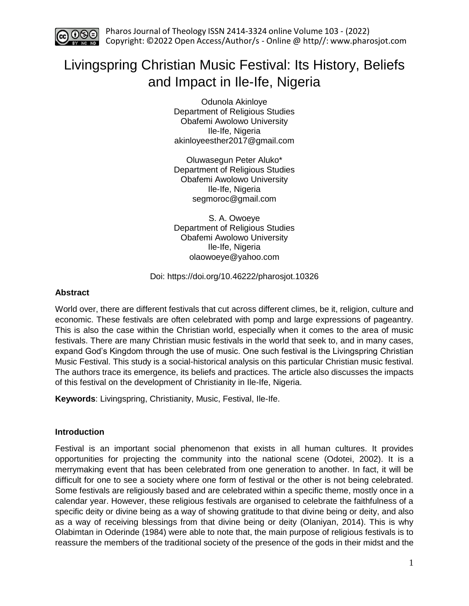

# Livingspring Christian Music Festival: Its History, Beliefs and Impact in Ile-Ife, Nigeria

Odunola Akinloye Department of Religious Studies Obafemi Awolowo University Ile-Ife, Nigeria akinloyeesther2017@gmail.com

Oluwasegun Peter Aluko\* Department of Religious Studies Obafemi Awolowo University Ile-Ife, Nigeria segmoroc@gmail.com

S. A. Owoeye Department of Religious Studies Obafemi Awolowo University Ile-Ife, Nigeria olaowoeye@yahoo.com

Doi: https://doi.org/10.46222/pharosjot.10326

# **Abstract**

World over, there are different festivals that cut across different climes, be it, religion, culture and economic. These festivals are often celebrated with pomp and large expressions of pageantry. This is also the case within the Christian world, especially when it comes to the area of music festivals. There are many Christian music festivals in the world that seek to, and in many cases, expand God's Kingdom through the use of music. One such festival is the Livingspring Christian Music Festival. This study is a social-historical analysis on this particular Christian music festival. The authors trace its emergence, its beliefs and practices. The article also discusses the impacts of this festival on the development of Christianity in Ile-Ife, Nigeria.

**Keywords**: Livingspring, Christianity, Music, Festival, Ile-Ife.

# **Introduction**

Festival is an important social phenomenon that exists in all human cultures. It provides opportunities for projecting the community into the national scene (Odotei, 2002). It is a merrymaking event that has been celebrated from one generation to another. In fact, it will be difficult for one to see a society where one form of festival or the other is not being celebrated. Some festivals are religiously based and are celebrated within a specific theme, mostly once in a calendar year. However, these religious festivals are organised to celebrate the faithfulness of a specific deity or divine being as a way of showing gratitude to that divine being or deity, and also as a way of receiving blessings from that divine being or deity (Olaniyan, 2014). This is why Olabimtan in Oderinde (1984) were able to note that, the main purpose of religious festivals is to reassure the members of the traditional society of the presence of the gods in their midst and the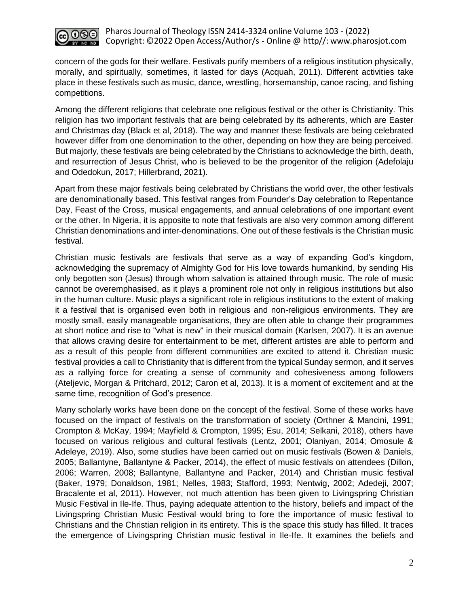

concern of the gods for their welfare. Festivals purify members of a religious institution physically, morally, and spiritually, sometimes, it lasted for days (Acquah, 2011). Different activities take place in these festivals such as music, dance, wrestling, horsemanship, canoe racing, and fishing competitions.

Among the different religions that celebrate one religious festival or the other is Christianity. This religion has two important festivals that are being celebrated by its adherents, which are Easter and Christmas day (Black et al, 2018). The way and manner these festivals are being celebrated however differ from one denomination to the other, depending on how they are being perceived. But majorly, these festivals are being celebrated by the Christians to acknowledge the birth, death, and resurrection of Jesus Christ, who is believed to be the progenitor of the religion (Adefolaju and Odedokun, 2017; Hillerbrand, 2021).

Apart from these major festivals being celebrated by Christians the world over, the other festivals are denominationally based. This festival ranges from Founder's Day celebration to Repentance Day, Feast of the Cross, musical engagements, and annual celebrations of one important event or the other. In Nigeria, it is apposite to note that festivals are also very common among different Christian denominations and inter-denominations. One out of these festivals is the Christian music festival.

Christian music festivals are festivals that serve as a way of expanding God's kingdom, acknowledging the supremacy of Almighty God for His love towards humankind, by sending His only begotten son (Jesus) through whom salvation is attained through music. The role of music cannot be overemphasised, as it plays a prominent role not only in religious institutions but also in the human culture. Music plays a significant role in religious institutions to the extent of making it a festival that is organised even both in religious and non-religious environments. They are mostly small, easily manageable organisations, they are often able to change their programmes at short notice and rise to "what is new" in their musical domain (Karlsen, 2007). It is an avenue that allows craving desire for entertainment to be met, different artistes are able to perform and as a result of this people from different communities are excited to attend it. Christian music festival provides a call to Christianity that is different from the typical Sunday sermon, and it serves as a rallying force for creating a sense of community and cohesiveness among followers (Ateljevic, Morgan & Pritchard, 2012; Caron et al, 2013). It is a moment of excitement and at the same time, recognition of God's presence.

Many scholarly works have been done on the concept of the festival. Some of these works have focused on the impact of festivals on the transformation of society (Orthner & Mancini, 1991; Crompton & McKay, 1994; Mayfield & Crompton, 1995; Esu, 2014; Selkani, 2018), others have focused on various religious and cultural festivals (Lentz, 2001; Olaniyan, 2014; Omosule & Adeleye, 2019). Also, some studies have been carried out on music festivals (Bowen & Daniels, 2005; Ballantyne, Ballantyne & Packer, 2014), the effect of music festivals on attendees (Dillon, 2006; Warren, 2008; Ballantyne, Ballantyne and Packer, 2014) and Christian music festival (Baker, 1979; Donaldson, 1981; Nelles, 1983; Stafford, 1993; Nentwig, 2002; Adedeji, 2007; Bracalente et al, 2011). However, not much attention has been given to Livingspring Christian Music Festival in Ile-Ife. Thus, paying adequate attention to the history, beliefs and impact of the Livingspring Christian Music Festival would bring to fore the importance of music festival to Christians and the Christian religion in its entirety. This is the space this study has filled. It traces the emergence of Livingspring Christian music festival in Ile-Ife. It examines the beliefs and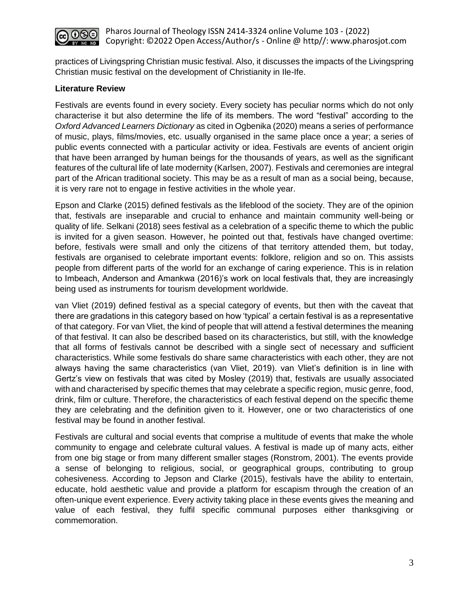

practices of Livingspring Christian music festival. Also, it discusses the impacts of the Livingspring Christian music festival on the development of Christianity in Ile-Ife.

# **Literature Review**

Festivals are events found in every society. Every society has peculiar norms which do not only characterise it but also determine the life of its members. The word "festival" according to the *Oxford Advanced Learners Dictionary* as cited in Ogbenika (2020) means a series of performance of music, plays, films/movies, etc. usually organised in the same place once a year; a series of public events connected with a particular activity or idea. Festivals are events of ancient origin that have been arranged by human beings for the thousands of years, as well as the significant features of the cultural life of late modernity (Karlsen, 2007). Festivals and ceremonies are integral part of the African traditional society. This may be as a result of man as a social being, because, it is very rare not to engage in festive activities in the whole year.

Epson and Clarke (2015) defined festivals as the lifeblood of the society. They are of the opinion that, festivals are inseparable and crucial to enhance and maintain community well-being or quality of life. Selkani (2018) sees festival as a celebration of a specific theme to which the public is invited for a given season. However, he pointed out that, festivals have changed overtime: before, festivals were small and only the citizens of that territory attended them, but today, festivals are organised to celebrate important events: folklore, religion and so on. This assists people from different parts of the world for an exchange of caring experience. This is in relation to Imbeach, Anderson and Amankwa (2016)'s work on local festivals that, they are increasingly being used as instruments for tourism development worldwide.

van Vliet (2019) defined festival as a special category of events, but then with the caveat that there are gradations in this category based on how 'typical' a certain festival is as a representative of that category. For van Vliet, the kind of people that will attend a festival determines the meaning of that festival. It can also be described based on its characteristics, but still, with the knowledge that all forms of festivals cannot be described with a single sect of necessary and sufficient characteristics. While some festivals do share same characteristics with each other, they are not always having the same characteristics (van Vliet, 2019). van Vliet's definition is in line with Gertz's view on festivals that was cited by Mosley (2019) that, festivals are usually associated with and characterised by specific themes that may celebrate a specific region, music genre, food, drink, film or culture. Therefore, the characteristics of each festival depend on the specific theme they are celebrating and the definition given to it. However, one or two characteristics of one festival may be found in another festival.

Festivals are cultural and social events that comprise a multitude of events that make the whole community to engage and celebrate cultural values. A festival is made up of many acts, either from one big stage or from many different smaller stages (Ronstrom, 2001). The events provide a sense of belonging to religious, social, or geographical groups, contributing to group cohesiveness. According to Jepson and Clarke (2015), festivals have the ability to entertain, educate, hold aesthetic value and provide a platform for escapism through the creation of an often-unique event experience. Every activity taking place in these events gives the meaning and value of each festival, they fulfil specific communal purposes either thanksgiving or commemoration.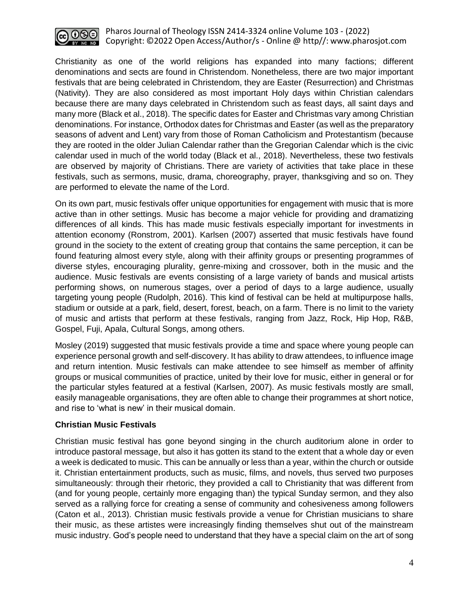

Christianity as one of the world religions has expanded into many factions; different denominations and sects are found in Christendom. Nonetheless, there are two major important festivals that are being celebrated in Christendom, they are Easter (Resurrection) and Christmas (Nativity). They are also considered as most important Holy days within Christian calendars because there are many days celebrated in Christendom such as feast days, all saint days and many more (Black et al., 2018). The specific dates for Easter and Christmas vary among Christian denominations. For instance, Orthodox dates for Christmas and Easter (as well as the preparatory seasons of advent and Lent) vary from those of Roman Catholicism and Protestantism (because they are rooted in the older Julian Calendar rather than the Gregorian Calendar which is the civic calendar used in much of the world today (Black et al., 2018). Nevertheless, these two festivals are observed by majority of Christians. There are variety of activities that take place in these festivals, such as sermons, music, drama, choreography, prayer, thanksgiving and so on. They are performed to elevate the name of the Lord.

On its own part, music festivals offer unique opportunities for engagement with music that is more active than in other settings. Music has become a major vehicle for providing and dramatizing differences of all kinds. This has made music festivals especially important for investments in attention economy (Ronstrom, 2001). Karlsen (2007) asserted that music festivals have found ground in the society to the extent of creating group that contains the same perception, it can be found featuring almost every style, along with their affinity groups or presenting programmes of diverse styles, encouraging plurality, genre-mixing and crossover, both in the music and the audience. Music festivals are events consisting of a large variety of bands and musical artists performing shows, on numerous stages, over a period of days to a large audience, usually targeting young people (Rudolph, 2016). This kind of festival can be held at multipurpose halls, stadium or outside at a park, field, desert, forest, beach, on a farm. There is no limit to the variety of music and artists that perform at these festivals, ranging from Jazz, Rock, Hip Hop, R&B, Gospel, Fuji, Apala, Cultural Songs, among others.

Mosley (2019) suggested that music festivals provide a time and space where young people can experience personal growth and self-discovery. It has ability to draw attendees, to influence image and return intention. Music festivals can make attendee to see himself as member of affinity groups or musical communities of practice, united by their love for music, either in general or for the particular styles featured at a festival (Karlsen, 2007). As music festivals mostly are small, easily manageable organisations, they are often able to change their programmes at short notice, and rise to 'what is new' in their musical domain.

# **Christian Music Festivals**

Christian music festival has gone beyond singing in the church auditorium alone in order to introduce pastoral message, but also it has gotten its stand to the extent that a whole day or even a week is dedicated to music. This can be annually or less than a year, within the church or outside it. Christian entertainment products, such as music, films, and novels, thus served two purposes simultaneously: through their rhetoric, they provided a call to Christianity that was different from (and for young people, certainly more engaging than) the typical Sunday sermon, and they also served as a rallying force for creating a sense of community and cohesiveness among followers (Caton et al., 2013). Christian music festivals provide a venue for Christian musicians to share their music, as these artistes were increasingly finding themselves shut out of the mainstream music industry. God's people need to understand that they have a special claim on the art of song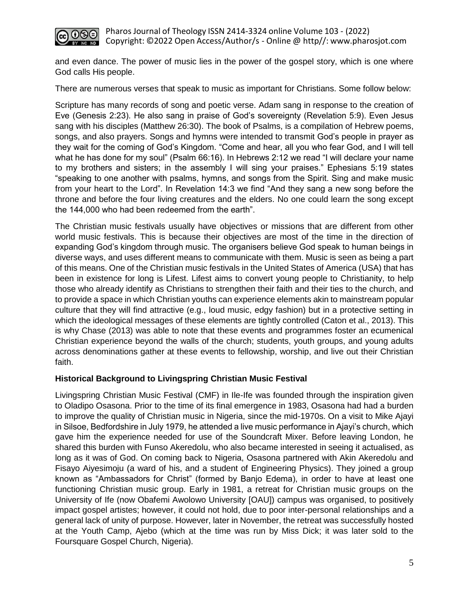

and even dance. The power of music lies in the power of the gospel story, which is one where God calls His people.

There are numerous verses that speak to music as important for Christians. Some follow below:

Scripture has many records of song and poetic verse. Adam sang in response to the creation of Eve (Genesis 2:23). He also sang in praise of God's sovereignty (Revelation 5:9). Even Jesus sang with his disciples (Matthew 26:30). The book of Psalms, is a compilation of Hebrew poems, songs, and also prayers. Songs and hymns were intended to transmit God's people in prayer as they wait for the coming of God's Kingdom. "Come and hear, all you who fear God, and I will tell what he has done for my soul" (Psalm 66:16). In Hebrews 2:12 we read "I will declare your name to my brothers and sisters; in the assembly I will sing your praises." Ephesians 5:19 states "speaking to one another with psalms, hymns, and songs from the Spirit. Sing and make music from your heart to the Lord". In Revelation 14:3 we find "And they sang a new song before the throne and before the four living creatures and the elders. No one could learn the song except the 144,000 who had been redeemed from the earth".

The Christian music festivals usually have objectives or missions that are different from other world music festivals. This is because their objectives are most of the time in the direction of expanding God's kingdom through music. The organisers believe God speak to human beings in diverse ways, and uses different means to communicate with them. Music is seen as being a part of this means. One of the Christian music festivals in the United States of America (USA) that has been in existence for long is Lifest. Lifest aims to convert young people to Christianity, to help those who already identify as Christians to strengthen their faith and their ties to the church, and to provide a space in which Christian youths can experience elements akin to mainstream popular culture that they will find attractive (e.g., loud music, edgy fashion) but in a protective setting in which the ideological messages of these elements are tightly controlled (Caton et al., 2013). This is why Chase (2013) was able to note that these events and programmes foster an ecumenical Christian experience beyond the walls of the church; students, youth groups, and young adults across denominations gather at these events to fellowship, worship, and live out their Christian faith.

# **Historical Background to Livingspring Christian Music Festival**

Livingspring Christian Music Festival (CMF) in Ile-Ife was founded through the inspiration given to Oladipo Osasona. Prior to the time of its final emergence in 1983, Osasona had had a burden to improve the quality of Christian music in Nigeria, since the mid-1970s. On a visit to Mike Ajayi in Silsoe, Bedfordshire in July 1979, he attended a live music performance in Ajayi's church, which gave him the experience needed for use of the Soundcraft Mixer. Before leaving London, he shared this burden with Funso Akeredolu, who also became interested in seeing it actualised, as long as it was of God. On coming back to Nigeria, Osasona partnered with Akin Akeredolu and Fisayo Aiyesimoju (a ward of his, and a student of Engineering Physics). They joined a group known as "Ambassadors for Christ" (formed by Banjo Edema), in order to have at least one functioning Christian music group. Early in 1981, a retreat for Christian music groups on the University of Ife (now Obafemi Awolowo University [OAU]) campus was organised, to positively impact gospel artistes; however, it could not hold, due to poor inter-personal relationships and a general lack of unity of purpose. However, later in November, the retreat was successfully hosted at the Youth Camp, Ajebo (which at the time was run by Miss Dick; it was later sold to the Foursquare Gospel Church, Nigeria).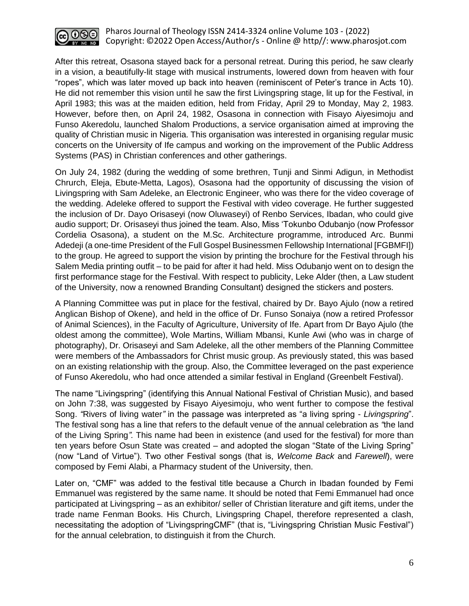

After this retreat, Osasona stayed back for a personal retreat. During this period, he saw clearly in a vision, a beautifully-lit stage with musical instruments, lowered down from heaven with four "ropes", which was later moved up back into heaven (reminiscent of Peter's trance in Acts 10). He did not remember this vision until he saw the first Livingspring stage, lit up for the Festival, in April 1983; this was at the maiden edition, held from Friday, April 29 to Monday, May 2, 1983. However, before then, on April 24, 1982, Osasona in connection with Fisayo Aiyesimoju and Funso Akeredolu, launched Shalom Productions, a service organisation aimed at improving the quality of Christian music in Nigeria. This organisation was interested in organising regular music concerts on the University of Ife campus and working on the improvement of the Public Address Systems (PAS) in Christian conferences and other gatherings.

On July 24, 1982 (during the wedding of some brethren, Tunji and Sinmi Adigun, in Methodist Chrurch, Eleja, Ebute-Metta, Lagos), Osasona had the opportunity of discussing the vision of Livingspring with Sam Adeleke, an Electronic Engineer, who was there for the video coverage of the wedding. Adeleke offered to support the Festival with video coverage. He further suggested the inclusion of Dr. Dayo Orisaseyi (now Oluwaseyi) of Renbo Services, Ibadan, who could give audio support; Dr. Orisaseyi thus joined the team. Also, Miss 'Tokunbo Odubanjo (now Professor Cordelia Osasona), a student on the M.Sc. Architecture programme, introduced Arc. Bunmi Adedeji (a one-time President of the Full Gospel Businessmen Fellowship International [FGBMFI]) to the group. He agreed to support the vision by printing the brochure for the Festival through his Salem Media printing outfit – to be paid for after it had held. Miss Odubanjo went on to design the first performance stage for the Festival. With respect to publicity, Leke Alder (then, a Law student of the University, now a renowned Branding Consultant) designed the stickers and posters.

A Planning Committee was put in place for the festival, chaired by Dr. Bayo Ajulo (now a retired Anglican Bishop of Okene), and held in the office of Dr. Funso Sonaiya (now a retired Professor of Animal Sciences), in the Faculty of Agriculture, University of Ife. Apart from Dr Bayo Ajulo (the oldest among the committee), Wole Martins, William Mbansi, Kunle Awi (who was in charge of photography), Dr. Orisaseyi and Sam Adeleke, all the other members of the Planning Committee were members of the Ambassadors for Christ music group. As previously stated, this was based on an existing relationship with the group. Also, the Committee leveraged on the past experience of Funso Akeredolu, who had once attended a similar festival in England (Greenbelt Festival).

The name "Livingspring" (identifying this Annual National Festival of Christian Music), and based on John 7:38, was suggested by Fisayo Aiyesimoju, who went further to compose the festival Song. *"*Rivers of living water*"* in the passage was interpreted as "a living spring - *Livingspring*". The festival song has a line that refers to the default venue of the annual celebration as *"*the land of the Living Spring*".* This name had been in existence (and used for the festival) for more than ten years before Osun State was created – and adopted the slogan "State of the Living Spring" (now "Land of Virtue"). Two other Festival songs (that is, *Welcome Back* and *Farewell*), were composed by Femi Alabi, a Pharmacy student of the University, then.

Later on, "CMF" was added to the festival title because a Church in Ibadan founded by Femi Emmanuel was registered by the same name. It should be noted that Femi Emmanuel had once participated at Livingspring – as an exhibitor/ seller of Christian literature and gift items, under the trade name Fenman Books. His Church, Livingspring Chapel, therefore represented a clash, necessitating the adoption of "LivingspringCMF" (that is, "Livingspring Christian Music Festival") for the annual celebration, to distinguish it from the Church.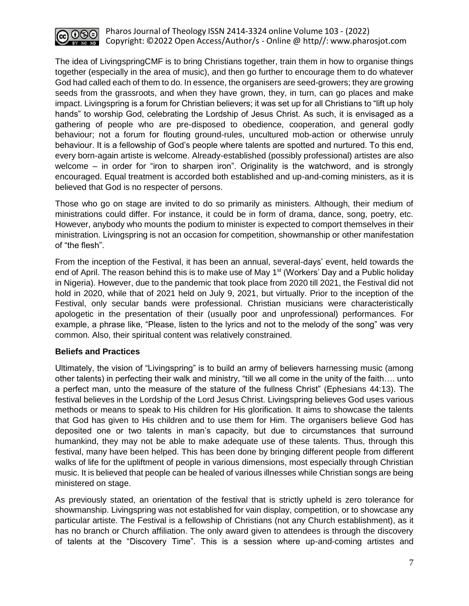

The idea of LivingspringCMF is to bring Christians together, train them in how to organise things together (especially in the area of music), and then go further to encourage them to do whatever God had called each of them to do. In essence, the organisers are seed-growers; they are growing seeds from the grassroots, and when they have grown, they, in turn, can go places and make impact. Livingspring is a forum for Christian believers; it was set up for all Christians to "lift up holy hands" to worship God, celebrating the Lordship of Jesus Christ. As such, it is envisaged as a gathering of people who are pre-disposed to obedience, cooperation, and general godly behaviour; not a forum for flouting ground-rules, uncultured mob-action or otherwise unruly behaviour. It is a fellowship of God's people where talents are spotted and nurtured. To this end, every born-again artiste is welcome. Already-established (possibly professional) artistes are also welcome – in order for "iron to sharpen iron". Originality is the watchword, and is strongly encouraged. Equal treatment is accorded both established and up-and-coming ministers, as it is believed that God is no respecter of persons.

Those who go on stage are invited to do so primarily as ministers. Although, their medium of ministrations could differ. For instance, it could be in form of drama, dance, song, poetry, etc. However, anybody who mounts the podium to minister is expected to comport themselves in their ministration. Livingspring is not an occasion for competition, showmanship or other manifestation of "the flesh".

From the inception of the Festival, it has been an annual, several-days' event, held towards the end of April. The reason behind this is to make use of May  $1<sup>st</sup>$  (Workers' Day and a Public holiday in Nigeria). However, due to the pandemic that took place from 2020 till 2021, the Festival did not hold in 2020, while that of 2021 held on July 9, 2021, but virtually. Prior to the inception of the Festival, only secular bands were professional. Christian musicians were characteristically apologetic in the presentation of their (usually poor and unprofessional) performances. For example, a phrase like, "Please, listen to the lyrics and not to the melody of the song" was very common. Also, their spiritual content was relatively constrained.

# **Beliefs and Practices**

Ultimately, the vision of "Livingspring" is to build an army of believers harnessing music (among other talents) in perfecting their walk and ministry, "till we all come in the unity of the faith…. unto a perfect man, unto the measure of the stature of the fullness Christ" (Ephesians 44:13). The festival believes in the Lordship of the Lord Jesus Christ. Livingspring believes God uses various methods or means to speak to His children for His glorification. It aims to showcase the talents that God has given to His children and to use them for Him. The organisers believe God has deposited one or two talents in man's capacity, but due to circumstances that surround humankind, they may not be able to make adequate use of these talents. Thus, through this festival, many have been helped. This has been done by bringing different people from different walks of life for the upliftment of people in various dimensions, most especially through Christian music. It is believed that people can be healed of various illnesses while Christian songs are being ministered on stage.

As previously stated, an orientation of the festival that is strictly upheld is zero tolerance for showmanship. Livingspring was not established for vain display, competition, or to showcase any particular artiste. The Festival is a fellowship of Christians (not any Church establishment), as it has no branch or Church affiliation. The only award given to attendees is through the discovery of talents at the "Discovery Time". This is a session where up-and-coming artistes and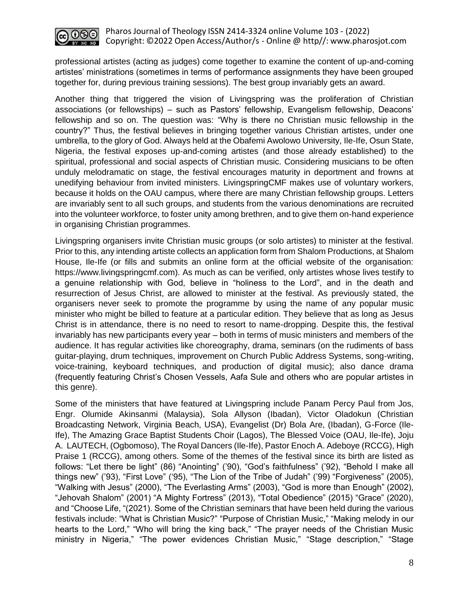

professional artistes (acting as judges) come together to examine the content of up-and-coming artistes' ministrations (sometimes in terms of performance assignments they have been grouped together for, during previous training sessions). The best group invariably gets an award.

Another thing that triggered the vision of Livingspring was the proliferation of Christian associations (or fellowships) – such as Pastors' fellowship, Evangelism fellowship, Deacons' fellowship and so on. The question was: "Why is there no Christian music fellowship in the country?" Thus, the festival believes in bringing together various Christian artistes, under one umbrella, to the glory of God. Always held at the Obafemi Awolowo University, Ile-Ife, Osun State, Nigeria, the festival exposes up-and-coming artistes (and those already established) to the spiritual, professional and social aspects of Christian music. Considering musicians to be often unduly melodramatic on stage, the festival encourages maturity in deportment and frowns at unedifying behaviour from invited ministers. LivingspringCMF makes use of voluntary workers, because it holds on the OAU campus, where there are many Christian fellowship groups. Letters are invariably sent to all such groups, and students from the various denominations are recruited into the volunteer workforce, to foster unity among brethren, and to give them on-hand experience in organising Christian programmes.

Livingspring organisers invite Christian music groups (or solo artistes) to minister at the festival. Prior to this, any intending artiste collects an application form from Shalom Productions, at Shalom House, Ile-Ife (or fills and submits an online form at the official website of the organisation: https://www.livingspringcmf.com). As much as can be verified, only artistes whose lives testify to a genuine relationship with God, believe in "holiness to the Lord", and in the death and resurrection of Jesus Christ, are allowed to minister at the festival. As previously stated, the organisers never seek to promote the programme by using the name of any popular music minister who might be billed to feature at a particular edition. They believe that as long as Jesus Christ is in attendance, there is no need to resort to name-dropping. Despite this, the festival invariably has new participants every year – both in terms of music ministers and members of the audience. It has regular activities like choreography, drama, seminars (on the rudiments of bass guitar-playing, drum techniques, improvement on Church Public Address Systems, song-writing, voice-training, keyboard techniques, and production of digital music); also dance drama (frequently featuring Christ's Chosen Vessels, Aafa Sule and others who are popular artistes in this genre).

Some of the ministers that have featured at Livingspring include Panam Percy Paul from Jos, Engr. Olumide Akinsanmi (Malaysia), Sola Allyson (Ibadan), Victor Oladokun (Christian Broadcasting Network, Virginia Beach, USA), Evangelist (Dr) Bola Are, (Ibadan), G-Force (Ile-Ife), The Amazing Grace Baptist Students Choir (Lagos), The Blessed Voice (OAU, Ile-Ife), Joju A. LAUTECH, (Ogbomoso), The Royal Dancers (Ile-Ife), Pastor Enoch A. Adeboye (RCCG), High Praise 1 (RCCG), among others. Some of the themes of the festival since its birth are listed as follows: "Let there be light" (86) "Anointing" ('90), "God's faithfulness" ('92), "Behold I make all things new" ('93), "First Love" ('95), "The Lion of the Tribe of Judah" ('99) "Forgiveness" (2005), "Walking with Jesus" (2000), "The Everlasting Arms" (2003), "God is more than Enough" (2002), "Jehovah Shalom" (2001) "A Mighty Fortress" (2013), "Total Obedience" (2015) "Grace" (2020), and "Choose Life, "(2021). Some of the Christian seminars that have been held during the various festivals include: "What is Christian Music?" "Purpose of Christian Music," "Making melody in our hearts to the Lord," "Who will bring the king back," "The prayer needs of the Christian Music ministry in Nigeria," "The power evidences Christian Music," "Stage description," "Stage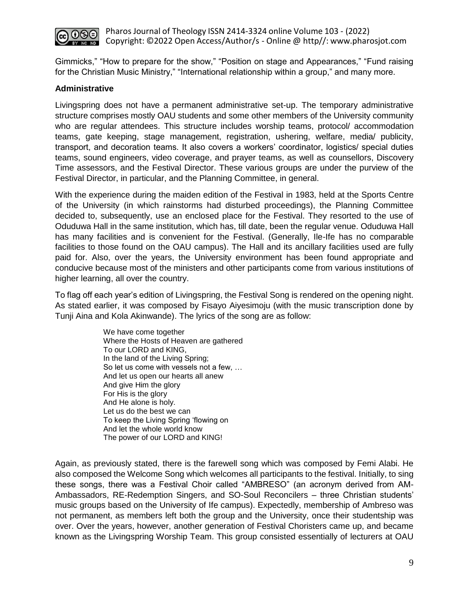

Gimmicks," "How to prepare for the show," "Position on stage and Appearances," "Fund raising for the Christian Music Ministry," "International relationship within a group," and many more.

# **Administrative**

Livingspring does not have a permanent administrative set-up. The temporary administrative structure comprises mostly OAU students and some other members of the University community who are regular attendees. This structure includes worship teams, protocol/ accommodation teams, gate keeping, stage management, registration, ushering, welfare, media/ publicity, transport, and decoration teams. It also covers a workers' coordinator, logistics/ special duties teams, sound engineers, video coverage, and prayer teams, as well as counsellors, Discovery Time assessors, and the Festival Director. These various groups are under the purview of the Festival Director, in particular, and the Planning Committee, in general.

With the experience during the maiden edition of the Festival in 1983, held at the Sports Centre of the University (in which rainstorms had disturbed proceedings), the Planning Committee decided to, subsequently, use an enclosed place for the Festival. They resorted to the use of Oduduwa Hall in the same institution, which has, till date, been the regular venue. Oduduwa Hall has many facilities and is convenient for the Festival. (Generally, Ile-Ife has no comparable facilities to those found on the OAU campus). The Hall and its ancillary facilities used are fully paid for. Also, over the years, the University environment has been found appropriate and conducive because most of the ministers and other participants come from various institutions of higher learning, all over the country.

To flag off each year's edition of Livingspring, the Festival Song is rendered on the opening night. As stated earlier, it was composed by Fisayo Aiyesimoju (with the music transcription done by Tunji Aina and Kola Akinwande). The lyrics of the song are as follow:

> We have come together Where the Hosts of Heaven are gathered To our LORD and KING, In the land of the Living Spring; So let us come with vessels not a few, … And let us open our hearts all anew And give Him the glory For His is the glory And He alone is holy. Let us do the best we can To keep the Living Spring 'flowing on And let the whole world know The power of our LORD and KING!

Again, as previously stated, there is the farewell song which was composed by Femi Alabi. He also composed the Welcome Song which welcomes all participants to the festival. Initially, to sing these songs, there was a Festival Choir called "AMBRESO" (an acronym derived from AM-Ambassadors, RE-Redemption Singers, and SO-Soul Reconcilers – three Christian students' music groups based on the University of Ife campus). Expectedly, membership of Ambreso was not permanent, as members left both the group and the University, once their studentship was over. Over the years, however, another generation of Festival Choristers came up, and became known as the Livingspring Worship Team. This group consisted essentially of lecturers at OAU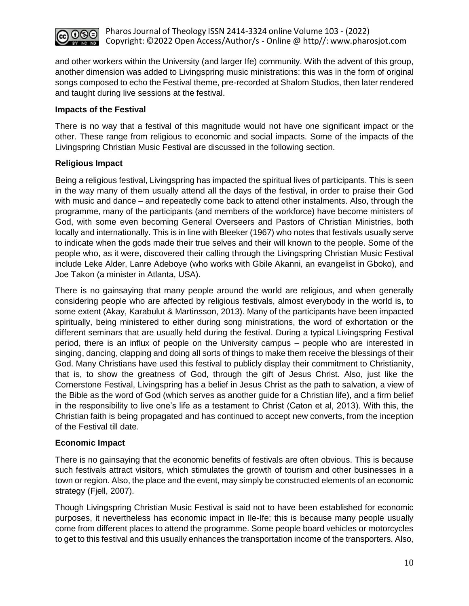

and other workers within the University (and larger Ife) community. With the advent of this group, another dimension was added to Livingspring music ministrations: this was in the form of original songs composed to echo the Festival theme, pre-recorded at Shalom Studios, then later rendered and taught during live sessions at the festival.

# **Impacts of the Festival**

There is no way that a festival of this magnitude would not have one significant impact or the other. These range from religious to economic and social impacts. Some of the impacts of the Livingspring Christian Music Festival are discussed in the following section.

# **Religious Impact**

Being a religious festival, Livingspring has impacted the spiritual lives of participants. This is seen in the way many of them usually attend all the days of the festival, in order to praise their God with music and dance – and repeatedly come back to attend other instalments. Also, through the programme, many of the participants (and members of the workforce) have become ministers of God, with some even becoming General Overseers and Pastors of Christian Ministries, both locally and internationally. This is in line with Bleeker (1967) who notes that festivals usually serve to indicate when the gods made their true selves and their will known to the people. Some of the people who, as it were, discovered their calling through the Livingspring Christian Music Festival include Leke Alder, Lanre Adeboye (who works with Gbile Akanni, an evangelist in Gboko), and Joe Takon (a minister in Atlanta, USA).

There is no gainsaying that many people around the world are religious, and when generally considering people who are affected by religious festivals, almost everybody in the world is, to some extent (Akay, Karabulut & Martinsson, 2013). Many of the participants have been impacted spiritually, being ministered to either during song ministrations, the word of exhortation or the different seminars that are usually held during the festival. During a typical Livingspring Festival period, there is an influx of people on the University campus – people who are interested in singing, dancing, clapping and doing all sorts of things to make them receive the blessings of their God. Many Christians have used this festival to publicly display their commitment to Christianity, that is, to show the greatness of God, through the gift of Jesus Christ. Also, just like the Cornerstone Festival, Livingspring has a belief in Jesus Christ as the path to salvation, a view of the Bible as the word of God (which serves as another guide for a Christian life), and a firm belief in the responsibility to live one's life as a testament to Christ (Caton et al, 2013). With this, the Christian faith is being propagated and has continued to accept new converts, from the inception of the Festival till date.

# **Economic Impact**

There is no gainsaying that the economic benefits of festivals are often obvious. This is because such festivals attract visitors, which stimulates the growth of tourism and other businesses in a town or region. Also, the place and the event, may simply be constructed elements of an economic strategy (Fjell, 2007).

Though Livingspring Christian Music Festival is said not to have been established for economic purposes, it nevertheless has economic impact in Ile-Ife; this is because many people usually come from different places to attend the programme. Some people board vehicles or motorcycles to get to this festival and this usually enhances the transportation income of the transporters. Also,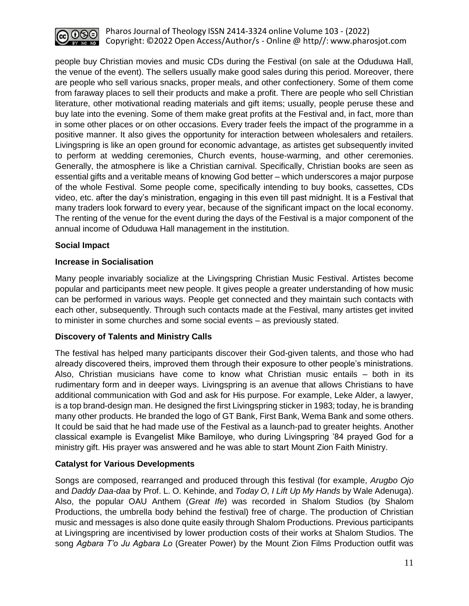

people buy Christian movies and music CDs during the Festival (on sale at the Oduduwa Hall, the venue of the event). The sellers usually make good sales during this period. Moreover, there are people who sell various snacks, proper meals, and other confectionery. Some of them come from faraway places to sell their products and make a profit. There are people who sell Christian literature, other motivational reading materials and gift items; usually, people peruse these and buy late into the evening. Some of them make great profits at the Festival and, in fact, more than in some other places or on other occasions. Every trader feels the impact of the programme in a positive manner. It also gives the opportunity for interaction between wholesalers and retailers. Livingspring is like an open ground for economic advantage, as artistes get subsequently invited to perform at wedding ceremonies, Church events, house-warming, and other ceremonies. Generally, the atmosphere is like a Christian carnival. Specifically, Christian books are seen as essential gifts and a veritable means of knowing God better – which underscores a major purpose of the whole Festival. Some people come, specifically intending to buy books, cassettes, CDs video, etc. after the day's ministration, engaging in this even till past midnight. It is a Festival that many traders look forward to every year, because of the significant impact on the local economy. The renting of the venue for the event during the days of the Festival is a major component of the annual income of Oduduwa Hall management in the institution.

# **Social Impact**

# **Increase in Socialisation**

Many people invariably socialize at the Livingspring Christian Music Festival. Artistes become popular and participants meet new people. It gives people a greater understanding of how music can be performed in various ways. People get connected and they maintain such contacts with each other, subsequently. Through such contacts made at the Festival, many artistes get invited to minister in some churches and some social events – as previously stated.

# **Discovery of Talents and Ministry Calls**

The festival has helped many participants discover their God-given talents, and those who had already discovered theirs, improved them through their exposure to other people's ministrations. Also, Christian musicians have come to know what Christian music entails – both in its rudimentary form and in deeper ways. Livingspring is an avenue that allows Christians to have additional communication with God and ask for His purpose. For example, Leke Alder, a lawyer, is a top brand-design man. He designed the first Livingspring sticker in 1983; today, he is branding many other products. He branded the logo of GT Bank, First Bank, Wema Bank and some others. It could be said that he had made use of the Festival as a launch-pad to greater heights. Another classical example is Evangelist Mike Bamiloye, who during Livingspring '84 prayed God for a ministry gift. His prayer was answered and he was able to start Mount Zion Faith Ministry.

# **Catalyst for Various Developments**

Songs are composed, rearranged and produced through this festival (for example, *Arugbo Ojo* and *Daddy Daa-daa* by Prof. L. O. Kehinde, and *Today O, I Lift Up My Hands* by Wale Adenuga). Also, the popular OAU Anthem (*Great Ife*) was recorded in Shalom Studios (by Shalom Productions, the umbrella body behind the festival) free of charge. The production of Christian music and messages is also done quite easily through Shalom Productions. Previous participants at Livingspring are incentivised by lower production costs of their works at Shalom Studios. The song *Agbara T'o Ju Agbara Lo* (Greater Power) by the Mount Zion Films Production outfit was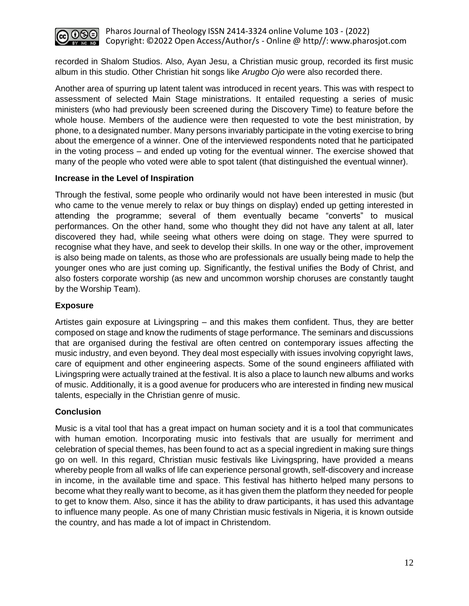

recorded in Shalom Studios. Also, Ayan Jesu, a Christian music group, recorded its first music album in this studio. Other Christian hit songs like *Arugbo Ojo* were also recorded there.

Another area of spurring up latent talent was introduced in recent years. This was with respect to assessment of selected Main Stage ministrations. It entailed requesting a series of music ministers (who had previously been screened during the Discovery Time) to feature before the whole house. Members of the audience were then requested to vote the best ministration, by phone, to a designated number. Many persons invariably participate in the voting exercise to bring about the emergence of a winner. One of the interviewed respondents noted that he participated in the voting process – and ended up voting for the eventual winner. The exercise showed that many of the people who voted were able to spot talent (that distinguished the eventual winner).

#### **Increase in the Level of Inspiration**

Through the festival, some people who ordinarily would not have been interested in music (but who came to the venue merely to relax or buy things on display) ended up getting interested in attending the programme; several of them eventually became "converts" to musical performances. On the other hand, some who thought they did not have any talent at all, later discovered they had, while seeing what others were doing on stage. They were spurred to recognise what they have, and seek to develop their skills. In one way or the other, improvement is also being made on talents, as those who are professionals are usually being made to help the younger ones who are just coming up. Significantly, the festival unifies the Body of Christ, and also fosters corporate worship (as new and uncommon worship choruses are constantly taught by the Worship Team).

#### **Exposure**

Artistes gain exposure at Livingspring – and this makes them confident. Thus, they are better composed on stage and know the rudiments of stage performance. The seminars and discussions that are organised during the festival are often centred on contemporary issues affecting the music industry, and even beyond. They deal most especially with issues involving copyright laws, care of equipment and other engineering aspects. Some of the sound engineers affiliated with Livingspring were actually trained at the festival. It is also a place to launch new albums and works of music. Additionally, it is a good avenue for producers who are interested in finding new musical talents, especially in the Christian genre of music.

#### **Conclusion**

Music is a vital tool that has a great impact on human society and it is a tool that communicates with human emotion. Incorporating music into festivals that are usually for merriment and celebration of special themes, has been found to act as a special ingredient in making sure things go on well. In this regard, Christian music festivals like Livingspring, have provided a means whereby people from all walks of life can experience personal growth, self-discovery and increase in income, in the available time and space. This festival has hitherto helped many persons to become what they really want to become, as it has given them the platform they needed for people to get to know them. Also, since it has the ability to draw participants, it has used this advantage to influence many people. As one of many Christian music festivals in Nigeria, it is known outside the country, and has made a lot of impact in Christendom.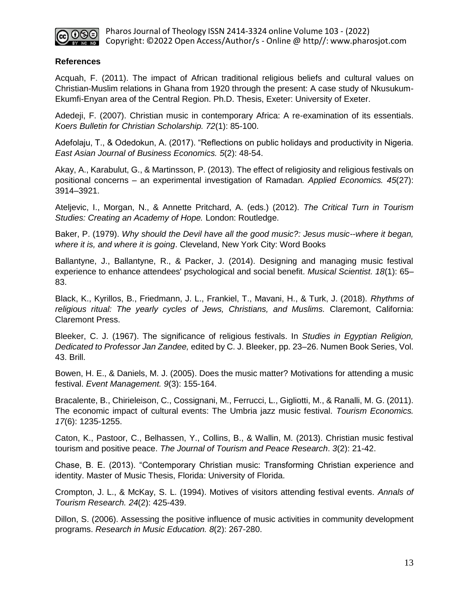

#### **References**

Acquah, F. (2011). The impact of African traditional religious beliefs and cultural values on Christian-Muslim relations in Ghana from 1920 through the present: A case study of Nkusukum-Ekumfi-Enyan area of the Central Region. Ph.D. Thesis, Exeter: University of Exeter.

Adedeji, F. (2007). Christian music in contemporary Africa: A re-examination of its essentials. *Koers Bulletin for Christian Scholarship. 72*(1): 85-100.

Adefolaju, T., & Odedokun, A. (2017). "Reflections on public holidays and productivity in Nigeria. *East Asian Journal of Business Economics. 5*(2): 48-54.

Akay, A., Karabulut, G., & Martinsson, P. (2013). The effect of religiosity and religious festivals on positional concerns – an experimental investigation of Ramadan*. Applied Economics. 45*(27): 3914–3921.

Ateljevic, I., Morgan, N., & Annette Pritchard, A. (eds.) (2012). *The Critical Turn in Tourism Studies: Creating an Academy of Hope.* London: Routledge.

Baker, P. (1979). *Why should the Devil have all the good music?: Jesus music--where it began, where it is, and where it is going*. Cleveland, New York City: Word Books

Ballantyne, J., Ballantyne, R., & Packer, J. (2014). Designing and managing music festival experience to enhance attendees' psychological and social benefit. *Musical Scientist. 18*(1): 65– 83.

Black, K., Kyrillos, B., Friedmann, J. L., Frankiel, T., Mavani, H., & Turk, J. (2018). *Rhythms of religious ritual: The yearly cycles of Jews, Christians, and Muslims.* Claremont, California: Claremont Press.

Bleeker, C. J. (1967). The significance of religious festivals. In *Studies in Egyptian Religion, Dedicated to Professor Jan Zandee,* edited by C. J. Bleeker, pp. 23–26. Numen Book Series, Vol. 43. Brill.

Bowen, H. E., & Daniels, M. J. (2005). Does the music matter? Motivations for attending a music festival. *Event Management. 9*(3): 155-164.

Bracalente, B., Chirieleison, C., Cossignani, M., Ferrucci, L., Gigliotti, M., & Ranalli, M. G. (2011). The economic impact of cultural events: The Umbria jazz music festival. *Tourism Economics. 17*(6): 1235-1255.

Caton, K., Pastoor, C., Belhassen, Y., Collins, B., & Wallin, M. (2013). Christian music festival tourism and positive peace. *The Journal of Tourism and Peace Research*. *3*(2): 21-42.

Chase, B. E. (2013). "Contemporary Christian music: Transforming Christian experience and identity. Master of Music Thesis, Florida: University of Florida.

Crompton, J. L., & McKay, S. L. (1994). Motives of visitors attending festival events. *Annals of Tourism Research. 24*(2): 425-439.

Dillon, S. (2006). Assessing the positive influence of music activities in community development programs. *Research in Music Education. 8*(2): 267-280.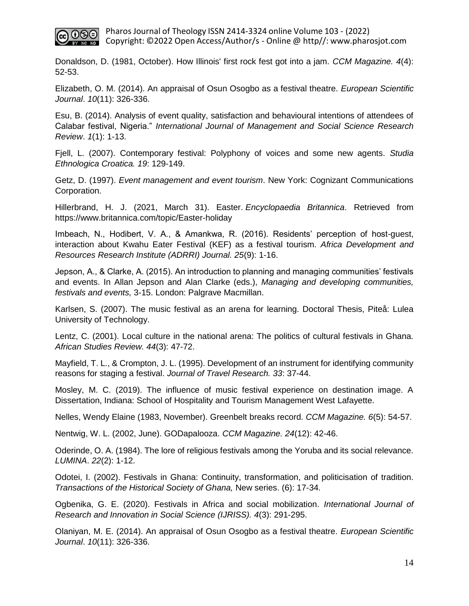

Donaldson, D. (1981, October). How Illinois' first rock fest got into a jam. *CCM Magazine. 4*(4): 52-53.

Elizabeth, O. M. (2014). An appraisal of Osun Osogbo as a festival theatre. *European Scientific Journal*. *10*(11): 326-336.

Esu, B. (2014). Analysis of event quality, satisfaction and behavioural intentions of attendees of Calabar festival, Nigeria." *International Journal of Management and Social Science Research Review*. *1*(1): 1-13.

Fjell, L. (2007). Contemporary festival: Polyphony of voices and some new agents. *Studia Ethnologica Croatica. 19*: 129-149.

Getz, D. (1997). *Event management and event tourism*. New York: Cognizant Communications Corporation.

Hillerbrand, H. J. (2021, March 31). Easter. *Encyclopaedia Britannica*. Retrieved from https://www.britannica.com/topic/Easter-holiday

Imbeach, N., Hodibert, V. A., & Amankwa, R. (2016). Residents' perception of host-guest, interaction about Kwahu Eater Festival (KEF) as a festival tourism. *Africa Development and Resources Research Institute (ADRRI) Journal. 25*(9): 1-16.

Jepson, A., & Clarke, A. (2015). An introduction to planning and managing communities' festivals and events. In Allan Jepson and Alan Clarke (eds.), *Managing and developing communities, festivals and events,* 3-15. London: Palgrave Macmillan.

Karlsen, S. (2007). The music festival as an arena for learning. Doctoral Thesis, Piteå: Lulea University of Technology.

Lentz, C. (2001). Local culture in the national arena: The politics of cultural festivals in Ghana. *African Studies Review. 44*(3): 47-72.

Mayfield, T. L., & Crompton, J. L. (1995). Development of an instrument for identifying community reasons for staging a festival. *Journal of Travel Research. 33*: 37-44.

Mosley, M. C. (2019). The influence of music festival experience on destination image. A Dissertation, Indiana: School of Hospitality and Tourism Management West Lafayette.

Nelles, Wendy Elaine (1983, November). Greenbelt breaks record. *CCM Magazine. 6*(5): 54-57.

Nentwig, W. L. (2002, June). GODapalooza. *CCM Magazine. 24*(12): 42-46.

Oderinde, O. A. (1984). The lore of religious festivals among the Yoruba and its social relevance. *LUMINA*. *22*(2): 1-12.

Odotei, I. (2002). Festivals in Ghana: Continuity, transformation, and politicisation of tradition. *Transactions of the Historical Society of Ghana,* New series. (6): 17-34.

Ogbenika, G. E. (2020). Festivals in Africa and social mobilization. *International Journal of Research and Innovation in Social Science (IJRISS). 4*(3): 291-295.

Olaniyan, M. E. (2014). An appraisal of Osun Osogbo as a festival theatre. *European Scientific Journal*. *10*(11): 326-336.